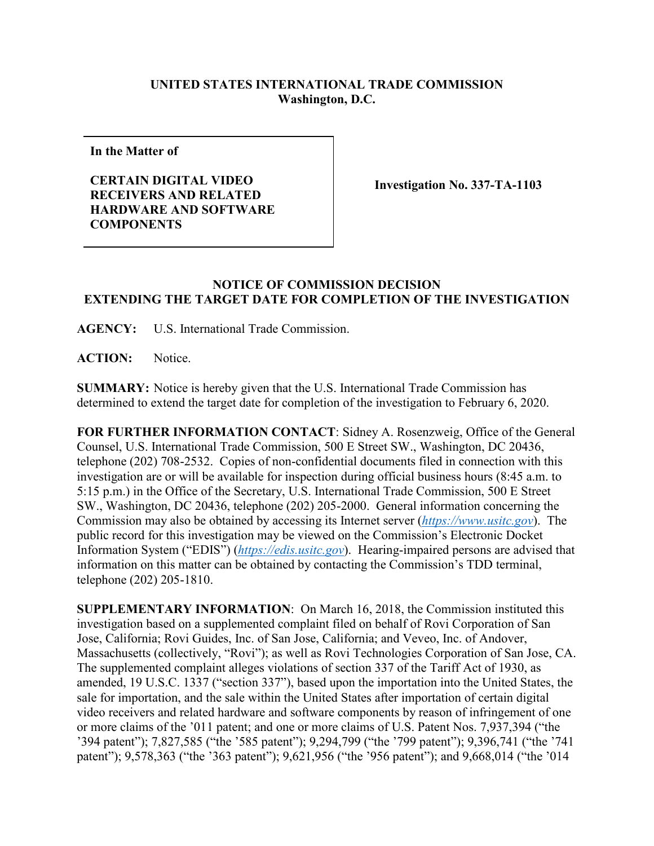## **UNITED STATES INTERNATIONAL TRADE COMMISSION Washington, D.C.**

**In the Matter of**

**CERTAIN DIGITAL VIDEO RECEIVERS AND RELATED HARDWARE AND SOFTWARE COMPONENTS**

**Investigation No. 337-TA-1103**

## **NOTICE OF COMMISSION DECISION EXTENDING THE TARGET DATE FOR COMPLETION OF THE INVESTIGATION**

**AGENCY:** U.S. International Trade Commission.

ACTION: Notice.

**SUMMARY:** Notice is hereby given that the U.S. International Trade Commission has determined to extend the target date for completion of the investigation to February 6, 2020.

**FOR FURTHER INFORMATION CONTACT**: Sidney A. Rosenzweig, Office of the General Counsel, U.S. International Trade Commission, 500 E Street SW., Washington, DC 20436, telephone (202) 708-2532. Copies of non-confidential documents filed in connection with this investigation are or will be available for inspection during official business hours (8:45 a.m. to 5:15 p.m.) in the Office of the Secretary, U.S. International Trade Commission, 500 E Street SW., Washington, DC 20436, telephone (202) 205-2000. General information concerning the Commission may also be obtained by accessing its Internet server (*[https://www.usitc.gov](https://www.usitc.gov/)*). The public record for this investigation may be viewed on the Commission's Electronic Docket Information System ("EDIS") (*[https://edis.usitc.gov](https://edis.usitc.gov/)*). Hearing-impaired persons are advised that information on this matter can be obtained by contacting the Commission's TDD terminal, telephone (202) 205-1810.

**SUPPLEMENTARY INFORMATION**: On March 16, 2018, the Commission instituted this investigation based on a supplemented complaint filed on behalf of Rovi Corporation of San Jose, California; Rovi Guides, Inc. of San Jose, California; and Veveo, Inc. of Andover, Massachusetts (collectively, "Rovi"); as well as Rovi Technologies Corporation of San Jose, CA. The supplemented complaint alleges violations of section 337 of the Tariff Act of 1930, as amended, 19 U.S.C. 1337 ("section 337"), based upon the importation into the United States, the sale for importation, and the sale within the United States after importation of certain digital video receivers and related hardware and software components by reason of infringement of one or more claims of the '011 patent; and one or more claims of U.S. Patent Nos. 7,937,394 ("the '394 patent"); 7,827,585 ("the '585 patent"); 9,294,799 ("the '799 patent"); 9,396,741 ("the '741 patent"); 9,578,363 ("the '363 patent"); 9,621,956 ("the '956 patent"); and 9,668,014 ("the '014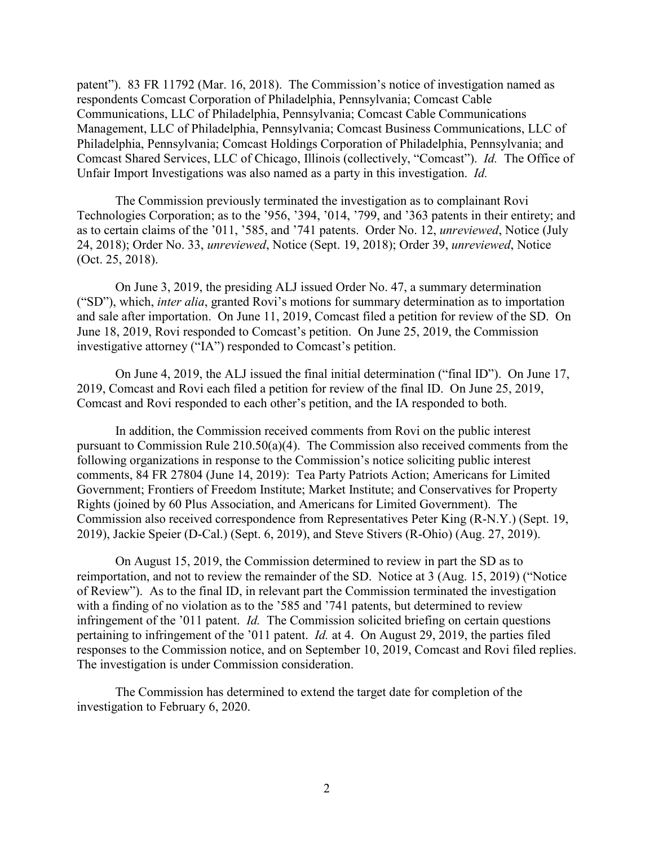patent"). 83 FR 11792 (Mar. 16, 2018). The Commission's notice of investigation named as respondents Comcast Corporation of Philadelphia, Pennsylvania; Comcast Cable Communications, LLC of Philadelphia, Pennsylvania; Comcast Cable Communications Management, LLC of Philadelphia, Pennsylvania; Comcast Business Communications, LLC of Philadelphia, Pennsylvania; Comcast Holdings Corporation of Philadelphia, Pennsylvania; and Comcast Shared Services, LLC of Chicago, Illinois (collectively, "Comcast"). *Id.* The Office of Unfair Import Investigations was also named as a party in this investigation. *Id.*

The Commission previously terminated the investigation as to complainant Rovi Technologies Corporation; as to the '956, '394, '014, '799, and '363 patents in their entirety; and as to certain claims of the '011, '585, and '741 patents. Order No. 12, *unreviewed*, Notice (July 24, 2018); Order No. 33, *unreviewed*, Notice (Sept. 19, 2018); Order 39, *unreviewed*, Notice (Oct. 25, 2018).

On June 3, 2019, the presiding ALJ issued Order No. 47, a summary determination ("SD"), which, *inter alia*, granted Rovi's motions for summary determination as to importation and sale after importation. On June 11, 2019, Comcast filed a petition for review of the SD. On June 18, 2019, Rovi responded to Comcast's petition. On June 25, 2019, the Commission investigative attorney ("IA") responded to Comcast's petition.

On June 4, 2019, the ALJ issued the final initial determination ("final ID"). On June 17, 2019, Comcast and Rovi each filed a petition for review of the final ID. On June 25, 2019, Comcast and Rovi responded to each other's petition, and the IA responded to both.

In addition, the Commission received comments from Rovi on the public interest pursuant to Commission Rule 210.50(a)(4). The Commission also received comments from the following organizations in response to the Commission's notice soliciting public interest comments, 84 FR 27804 (June 14, 2019): Tea Party Patriots Action; Americans for Limited Government; Frontiers of Freedom Institute; Market Institute; and Conservatives for Property Rights (joined by 60 Plus Association, and Americans for Limited Government). The Commission also received correspondence from Representatives Peter King (R-N.Y.) (Sept. 19, 2019), Jackie Speier (D-Cal.) (Sept. 6, 2019), and Steve Stivers (R-Ohio) (Aug. 27, 2019).

On August 15, 2019, the Commission determined to review in part the SD as to reimportation, and not to review the remainder of the SD. Notice at 3 (Aug. 15, 2019) ("Notice of Review"). As to the final ID, in relevant part the Commission terminated the investigation with a finding of no violation as to the '585 and '741 patents, but determined to review infringement of the '011 patent. *Id.* The Commission solicited briefing on certain questions pertaining to infringement of the '011 patent. *Id.* at 4. On August 29, 2019, the parties filed responses to the Commission notice, and on September 10, 2019, Comcast and Rovi filed replies. The investigation is under Commission consideration.

The Commission has determined to extend the target date for completion of the investigation to February 6, 2020.